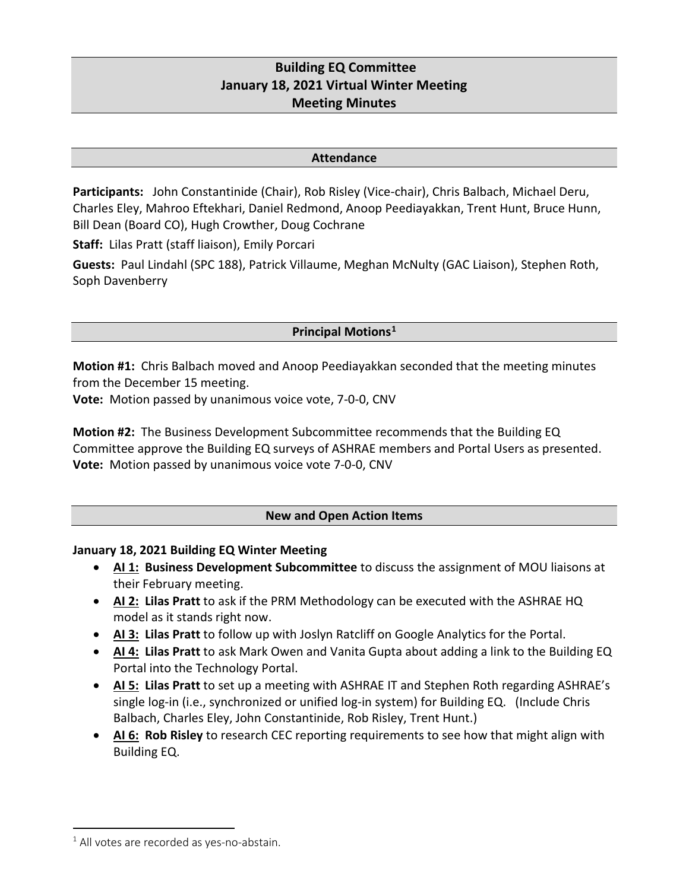# **Building EQ Committee January 18, 2021 Virtual Winter Meeting Meeting Minutes**

#### **Attendance**

**Participants:** John Constantinide (Chair), Rob Risley (Vice-chair), Chris Balbach, Michael Deru, Charles Eley, Mahroo Eftekhari, Daniel Redmond, Anoop Peediayakkan, Trent Hunt, Bruce Hunn, Bill Dean (Board CO), Hugh Crowther, Doug Cochrane

**Staff:** Lilas Pratt (staff liaison), Emily Porcari

**Guests:** Paul Lindahl (SPC 188), Patrick Villaume, Meghan McNulty (GAC Liaison), Stephen Roth, Soph Davenberry

## **Principal Motions[1](#page-0-0)**

**Motion #1:** Chris Balbach moved and Anoop Peediayakkan seconded that the meeting minutes from the December 15 meeting.

**Vote:** Motion passed by unanimous voice vote, 7-0-0, CNV

**Motion #2:** The Business Development Subcommittee recommends that the Building EQ Committee approve the Building EQ surveys of ASHRAE members and Portal Users as presented. **Vote:** Motion passed by unanimous voice vote 7-0-0, CNV

### **New and Open Action Items**

### **January 18, 2021 Building EQ Winter Meeting**

- **AI 1: Business Development Subcommittee** to discuss the assignment of MOU liaisons at their February meeting.
- **AI 2: Lilas Pratt** to ask if the PRM Methodology can be executed with the ASHRAE HQ model as it stands right now.
- **AI 3: Lilas Pratt** to follow up with Joslyn Ratcliff on Google Analytics for the Portal.
- **AI 4: Lilas Pratt** to ask Mark Owen and Vanita Gupta about adding a link to the Building EQ Portal into the Technology Portal.
- **AI 5: Lilas Pratt** to set up a meeting with ASHRAE IT and Stephen Roth regarding ASHRAE's single log-in (i.e., synchronized or unified log-in system) for Building EQ. (Include Chris Balbach, Charles Eley, John Constantinide, Rob Risley, Trent Hunt.)
- **AI 6: Rob Risley** to research CEC reporting requirements to see how that might align with Building EQ.

<span id="page-0-0"></span> $1$  All votes are recorded as yes-no-abstain.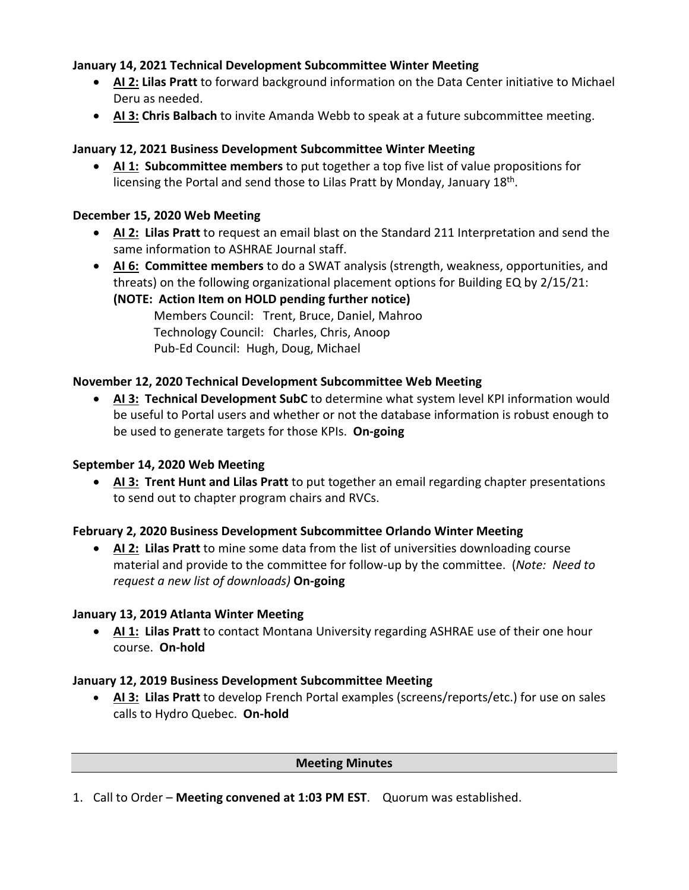## **January 14, 2021 Technical Development Subcommittee Winter Meeting**

- **AI 2: Lilas Pratt** to forward background information on the Data Center initiative to Michael Deru as needed.
- **AI 3: Chris Balbach** to invite Amanda Webb to speak at a future subcommittee meeting.

## **January 12, 2021 Business Development Subcommittee Winter Meeting**

• **AI 1: Subcommittee members** to put together a top five list of value propositions for licensing the Portal and send those to Lilas Pratt by Monday, January 18th.

## **December 15, 2020 Web Meeting**

- **AI 2: Lilas Pratt** to request an email blast on the Standard 211 Interpretation and send the same information to ASHRAE Journal staff.
- **AI 6: Committee members** to do a SWAT analysis (strength, weakness, opportunities, and threats) on the following organizational placement options for Building EQ by 2/15/21: **(NOTE: Action Item on HOLD pending further notice)**

Members Council: Trent, Bruce, Daniel, Mahroo Technology Council: Charles, Chris, Anoop Pub-Ed Council: Hugh, Doug, Michael

## **November 12, 2020 Technical Development Subcommittee Web Meeting**

• **AI 3: Technical Development SubC** to determine what system level KPI information would be useful to Portal users and whether or not the database information is robust enough to be used to generate targets for those KPIs. **On-going**

## **September 14, 2020 Web Meeting**

• **AI 3: Trent Hunt and Lilas Pratt** to put together an email regarding chapter presentations to send out to chapter program chairs and RVCs.

## **February 2, 2020 Business Development Subcommittee Orlando Winter Meeting**

• **AI 2: Lilas Pratt** to mine some data from the list of universities downloading course material and provide to the committee for follow-up by the committee. (*Note: Need to request a new list of downloads)* **On-going**

## **January 13, 2019 Atlanta Winter Meeting**

• **AI 1: Lilas Pratt** to contact Montana University regarding ASHRAE use of their one hour course. **On-hold**

### **January 12, 2019 Business Development Subcommittee Meeting**

• **AI 3: Lilas Pratt** to develop French Portal examples (screens/reports/etc.) for use on sales calls to Hydro Quebec. **On-hold**

### **Meeting Minutes**

1. Call to Order – **Meeting convened at 1:03 PM EST**. Quorum was established.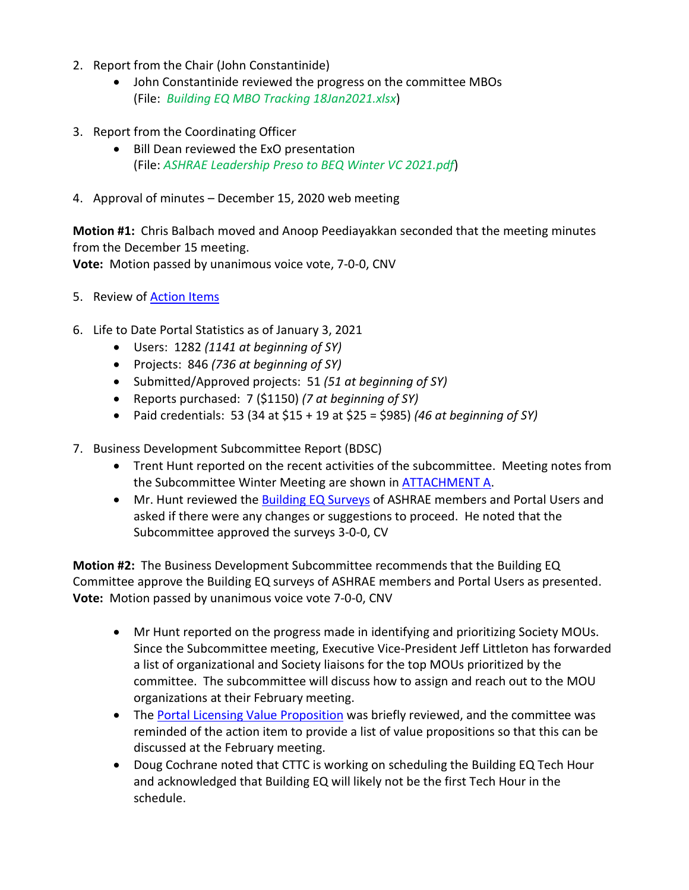- 2. Report from the Chair (John Constantinide)
	- John Constantinide reviewed the progress on the committee MBOs (File: *Building EQ MBO Tracking 18Jan2021.xlsx*)
- 3. Report from the Coordinating Officer
	- Bill Dean reviewed the ExO presentation (File: *ASHRAE Leadership Preso to BEQ Winter VC 2021.pdf*)
- 4. Approval of minutes December 15, 2020 web meeting

**Motion #1:** Chris Balbach moved and Anoop Peediayakkan seconded that the meeting minutes from the December 15 meeting. **Vote:** Motion passed by unanimous voice vote, 7-0-0, CNV

- 5. Review of Action Items
- 6. Life to Date Portal Statistics as of January 3, 2021
	- Users: 1282 *(1141 at beginning of SY)*
	- Projects: 846 *(736 at beginning of SY)*
	- Submitted/Approved projects: 51 *(51 at beginning of SY)*
	- Reports purchased: 7 (\$1150) *(7 at beginning of SY)*
	- Paid credentials: 53 (34 at \$15 + 19 at \$25 = \$985) *(46 at beginning of SY)*
- 7. Business Development Subcommittee Report (BDSC)
	- Trent Hunt reported on the recent activities of the subcommittee. Meeting notes from the Subcommittee Winter Meeting are shown in [ATTACHMENT A.](#page-5-0)
	- Mr. Hunt reviewed th[e Building EQ Surveys](#page-7-0) of ASHRAE members and Portal Users and asked if there were any changes or suggestions to proceed. He noted that the Subcommittee approved the surveys 3-0-0, CV

**Motion #2:** The Business Development Subcommittee recommends that the Building EQ Committee approve the Building EQ surveys of ASHRAE members and Portal Users as presented. **Vote:** Motion passed by unanimous voice vote 7-0-0, CNV

- Mr Hunt reported on the progress made in identifying and prioritizing Society MOUs. Since the Subcommittee meeting, Executive Vice-President Jeff Littleton has forwarded a list of organizational and Society liaisons for the top MOUs prioritized by the committee. The subcommittee will discuss how to assign and reach out to the MOU organizations at their February meeting.
- Th[e Portal Licensing Value Proposition](#page-9-0) was briefly reviewed, and the committee was reminded of the action item to provide a list of value propositions so that this can be discussed at the February meeting.
- Doug Cochrane noted that CTTC is working on scheduling the Building EQ Tech Hour and acknowledged that Building EQ will likely not be the first Tech Hour in the schedule.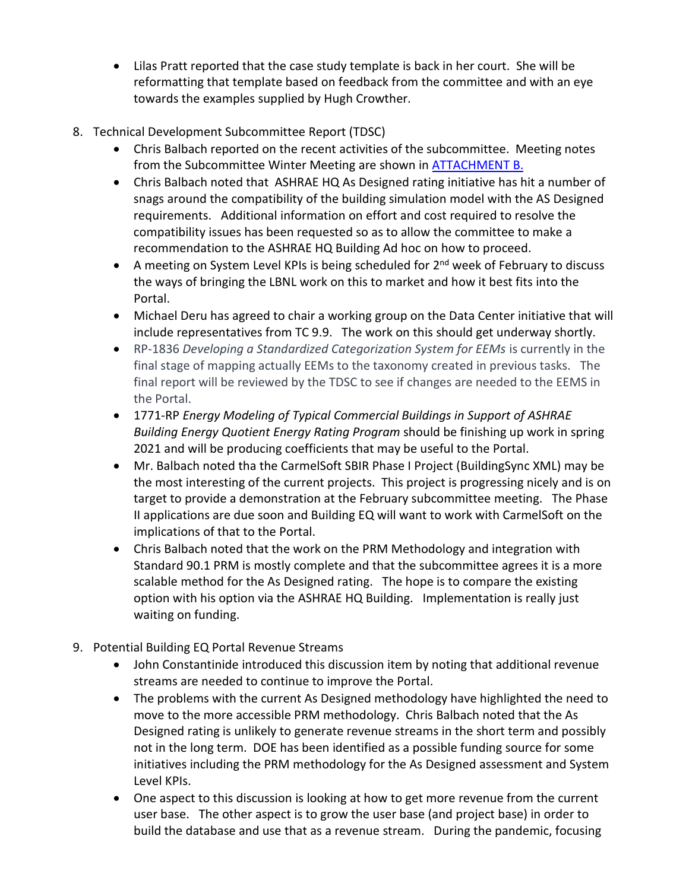- Lilas Pratt reported that the case study template is back in her court. She will be reformatting that template based on feedback from the committee and with an eye towards the examples supplied by Hugh Crowther.
- 8. Technical Development Subcommittee Report (TDSC)
	- Chris Balbach reported on the recent activities of the subcommittee. Meeting notes from the Subcommittee Winter Meeting are shown in [ATTACHMENT B.](#page-10-0)
	- Chris Balbach noted that ASHRAE HQ As Designed rating initiative has hit a number of snags around the compatibility of the building simulation model with the AS Designed requirements. Additional information on effort and cost required to resolve the compatibility issues has been requested so as to allow the committee to make a recommendation to the ASHRAE HQ Building Ad hoc on how to proceed.
	- A meeting on System Level KPIs is being scheduled for  $2^{nd}$  week of February to discuss the ways of bringing the LBNL work on this to market and how it best fits into the Portal.
	- Michael Deru has agreed to chair a working group on the Data Center initiative that will include representatives from TC 9.9. The work on this should get underway shortly.
	- RP-1836 *Developing a Standardized Categorization System for EEMs* is currently in the final stage of mapping actually EEMs to the taxonomy created in previous tasks. The final report will be reviewed by the TDSC to see if changes are needed to the EEMS in the Portal.
	- 1771-RP *Energy Modeling of Typical Commercial Buildings in Support of ASHRAE Building Energy Quotient Energy Rating Program* should be finishing up work in spring 2021 and will be producing coefficients that may be useful to the Portal.
	- Mr. Balbach noted tha the CarmelSoft SBIR Phase I Project (BuildingSync XML) may be the most interesting of the current projects. This project is progressing nicely and is on target to provide a demonstration at the February subcommittee meeting. The Phase II applications are due soon and Building EQ will want to work with CarmelSoft on the implications of that to the Portal.
	- Chris Balbach noted that the work on the PRM Methodology and integration with Standard 90.1 PRM is mostly complete and that the subcommittee agrees it is a more scalable method for the As Designed rating. The hope is to compare the existing option with his option via the ASHRAE HQ Building. Implementation is really just waiting on funding.
- 9. Potential Building EQ Portal Revenue Streams
	- John Constantinide introduced this discussion item by noting that additional revenue streams are needed to continue to improve the Portal.
	- The problems with the current As Designed methodology have highlighted the need to move to the more accessible PRM methodology. Chris Balbach noted that the As Designed rating is unlikely to generate revenue streams in the short term and possibly not in the long term. DOE has been identified as a possible funding source for some initiatives including the PRM methodology for the As Designed assessment and System Level KPIs.
	- One aspect to this discussion is looking at how to get more revenue from the current user base. The other aspect is to grow the user base (and project base) in order to build the database and use that as a revenue stream. During the pandemic, focusing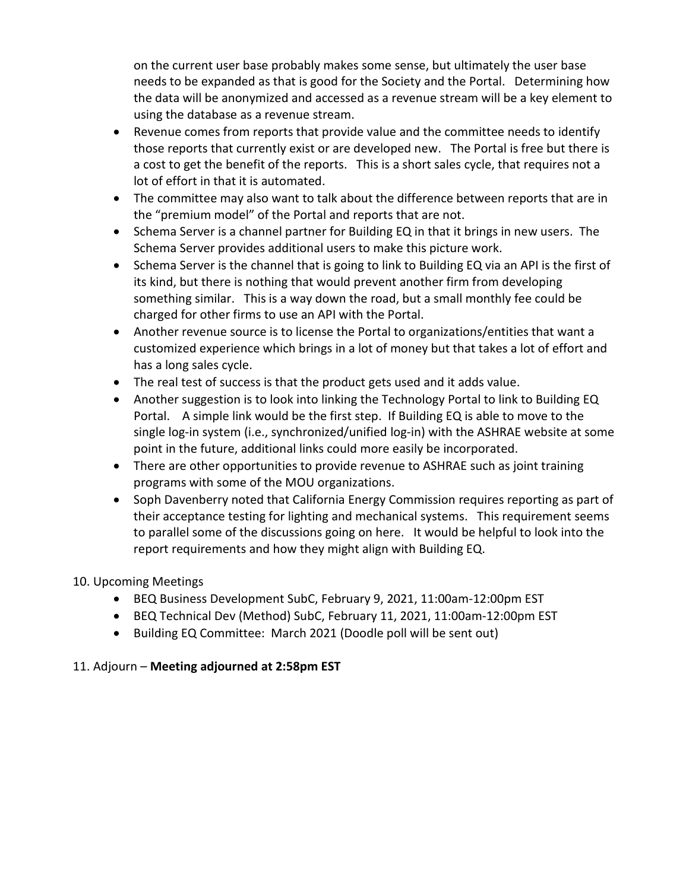on the current user base probably makes some sense, but ultimately the user base needs to be expanded as that is good for the Society and the Portal. Determining how the data will be anonymized and accessed as a revenue stream will be a key element to using the database as a revenue stream.

- Revenue comes from reports that provide value and the committee needs to identify those reports that currently exist or are developed new. The Portal is free but there is a cost to get the benefit of the reports. This is a short sales cycle, that requires not a lot of effort in that it is automated.
- The committee may also want to talk about the difference between reports that are in the "premium model" of the Portal and reports that are not.
- Schema Server is a channel partner for Building EQ in that it brings in new users. The Schema Server provides additional users to make this picture work.
- Schema Server is the channel that is going to link to Building EQ via an API is the first of its kind, but there is nothing that would prevent another firm from developing something similar. This is a way down the road, but a small monthly fee could be charged for other firms to use an API with the Portal.
- Another revenue source is to license the Portal to organizations/entities that want a customized experience which brings in a lot of money but that takes a lot of effort and has a long sales cycle.
- The real test of success is that the product gets used and it adds value.
- Another suggestion is to look into linking the Technology Portal to link to Building EQ Portal. A simple link would be the first step. If Building EQ is able to move to the single log-in system (i.e., synchronized/unified log-in) with the ASHRAE website at some point in the future, additional links could more easily be incorporated.
- There are other opportunities to provide revenue to ASHRAE such as joint training programs with some of the MOU organizations.
- Soph Davenberry noted that California Energy Commission requires reporting as part of their acceptance testing for lighting and mechanical systems. This requirement seems to parallel some of the discussions going on here. It would be helpful to look into the report requirements and how they might align with Building EQ.

## 10. Upcoming Meetings

- BEQ Business Development SubC, February 9, 2021, 11:00am-12:00pm EST
- BEQ Technical Dev (Method) SubC, February 11, 2021, 11:00am-12:00pm EST
- Building EQ Committee: March 2021 (Doodle poll will be sent out)

## 11. Adjourn – **Meeting adjourned at 2:58pm EST**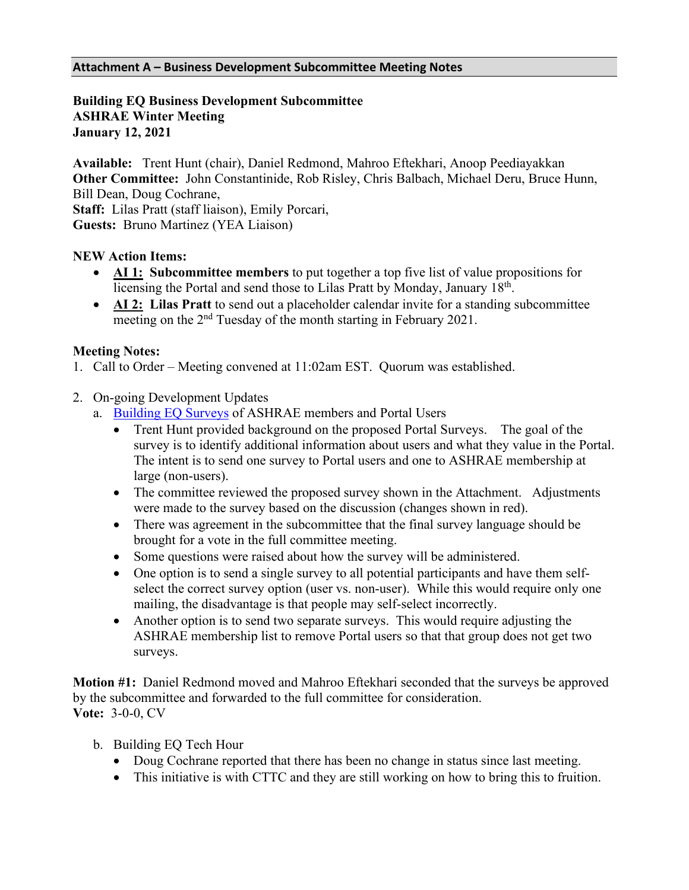#### <span id="page-5-0"></span>**Attachment A – Business Development Subcommittee Meeting Notes**

## **Building EQ Business Development Subcommittee ASHRAE Winter Meeting January 12, 2021**

**Available:** Trent Hunt (chair), Daniel Redmond, Mahroo Eftekhari, Anoop Peediayakkan **Other Committee:** John Constantinide, Rob Risley, Chris Balbach, Michael Deru, Bruce Hunn, Bill Dean, Doug Cochrane,

**Staff:** Lilas Pratt (staff liaison), Emily Porcari, **Guests:** Bruno Martinez (YEA Liaison)

## **NEW Action Items:**

- **AI 1: Subcommittee members** to put together a top five list of value propositions for licensing the Portal and send those to Lilas Pratt by Monday, January 18<sup>th</sup>.
- **AI 2: Lilas Pratt** to send out a placeholder calendar invite for a standing subcommittee meeting on the 2<sup>nd</sup> Tuesday of the month starting in February 2021.

## **Meeting Notes:**

- 1. Call to Order Meeting convened at 11:02am EST. Quorum was established.
- 2. On-going Development Updates
	- a. [Building EQ Surveys](#page-7-0) of ASHRAE members and Portal Users
		- Trent Hunt provided background on the proposed Portal Surveys. The goal of the survey is to identify additional information about users and what they value in the Portal. The intent is to send one survey to Portal users and one to ASHRAE membership at large (non-users).
		- The committee reviewed the proposed survey shown in the Attachment. Adjustments were made to the survey based on the discussion (changes shown in red).
		- There was agreement in the subcommittee that the final survey language should be brought for a vote in the full committee meeting.
		- Some questions were raised about how the survey will be administered.
		- One option is to send a single survey to all potential participants and have them selfselect the correct survey option (user vs. non-user). While this would require only one mailing, the disadvantage is that people may self-select incorrectly.
		- Another option is to send two separate surveys. This would require adjusting the ASHRAE membership list to remove Portal users so that that group does not get two surveys.

**Motion #1:** Daniel Redmond moved and Mahroo Eftekhari seconded that the surveys be approved by the subcommittee and forwarded to the full committee for consideration. **Vote:** 3-0-0, CV

- b. Building EQ Tech Hour
	- Doug Cochrane reported that there has been no change in status since last meeting.
	- This initiative is with CTTC and they are still working on how to bring this to fruition.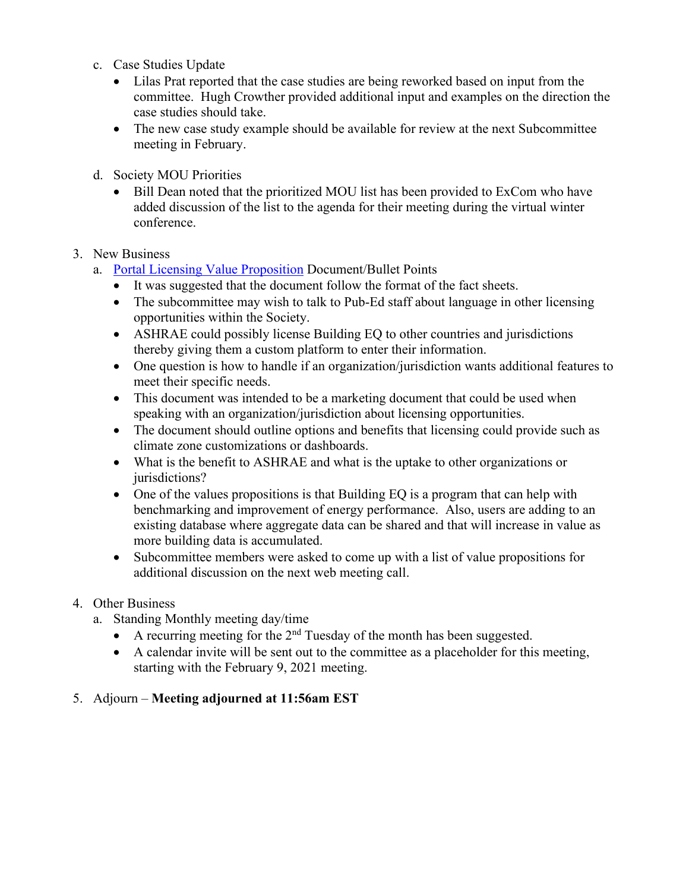- c. Case Studies Update
	- Lilas Prat reported that the case studies are being reworked based on input from the committee. Hugh Crowther provided additional input and examples on the direction the case studies should take.
	- The new case study example should be available for review at the next Subcommittee meeting in February.
- d. Society MOU Priorities
	- Bill Dean noted that the prioritized MOU list has been provided to ExCom who have added discussion of the list to the agenda for their meeting during the virtual winter conference.
- 3. New Business
	- a. [Portal Licensing Value Proposition](#page-9-0) Document/Bullet Points
		- It was suggested that the document follow the format of the fact sheets.
		- The subcommittee may wish to talk to Pub-Ed staff about language in other licensing opportunities within the Society.
		- ASHRAE could possibly license Building EQ to other countries and jurisdictions thereby giving them a custom platform to enter their information.
		- One question is how to handle if an organization/jurisdiction wants additional features to meet their specific needs.
		- This document was intended to be a marketing document that could be used when speaking with an organization/jurisdiction about licensing opportunities.
		- The document should outline options and benefits that licensing could provide such as climate zone customizations or dashboards.
		- What is the benefit to ASHRAE and what is the uptake to other organizations or jurisdictions?
		- One of the values propositions is that Building EQ is a program that can help with benchmarking and improvement of energy performance. Also, users are adding to an existing database where aggregate data can be shared and that will increase in value as more building data is accumulated.
		- Subcommittee members were asked to come up with a list of value propositions for additional discussion on the next web meeting call.
- 4. Other Business
	- a. Standing Monthly meeting day/time
		- A recurring meeting for the  $2<sup>nd</sup>$  Tuesday of the month has been suggested.
		- A calendar invite will be sent out to the committee as a placeholder for this meeting, starting with the February 9, 2021 meeting.

# 5. Adjourn – **Meeting adjourned at 11:56am EST**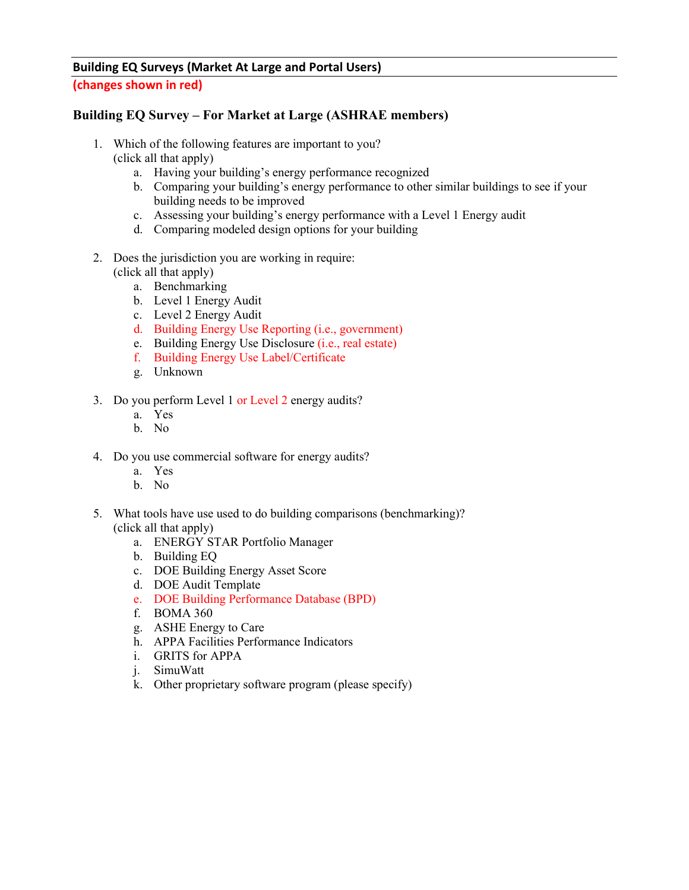#### <span id="page-7-0"></span>**Building EQ Surveys (Market At Large and Portal Users)**

**(changes shown in red)**

## **Building EQ Survey – For Market at Large (ASHRAE members)**

- 1. Which of the following features are important to you? (click all that apply)
	- a. Having your building's energy performance recognized
	- b. Comparing your building's energy performance to other similar buildings to see if your building needs to be improved
	- c. Assessing your building's energy performance with a Level 1 Energy audit
	- d. Comparing modeled design options for your building
- 2. Does the jurisdiction you are working in require:
	- (click all that apply)
		- a. Benchmarking
		- b. Level 1 Energy Audit
		- c. Level 2 Energy Audit
		- d. Building Energy Use Reporting (i.e., government)
		- e. Building Energy Use Disclosure (i.e., real estate)
		- f. Building Energy Use Label/Certificate
		- g. Unknown
- 3. Do you perform Level 1 or Level 2 energy audits?
	- a. Yes
	- b. No
- 4. Do you use commercial software for energy audits?
	- a. Yes
	- b. No
- 5. What tools have use used to do building comparisons (benchmarking)? (click all that apply)
	- a. ENERGY STAR Portfolio Manager
	- b. Building EQ
	- c. DOE Building Energy Asset Score
	- d. DOE Audit Template
	- e. DOE Building Performance Database (BPD)
	- f. BOMA 360
	- g. ASHE Energy to Care
	- h. APPA Facilities Performance Indicators
	- i. GRITS for APPA
	- j. SimuWatt
	- k. Other proprietary software program (please specify)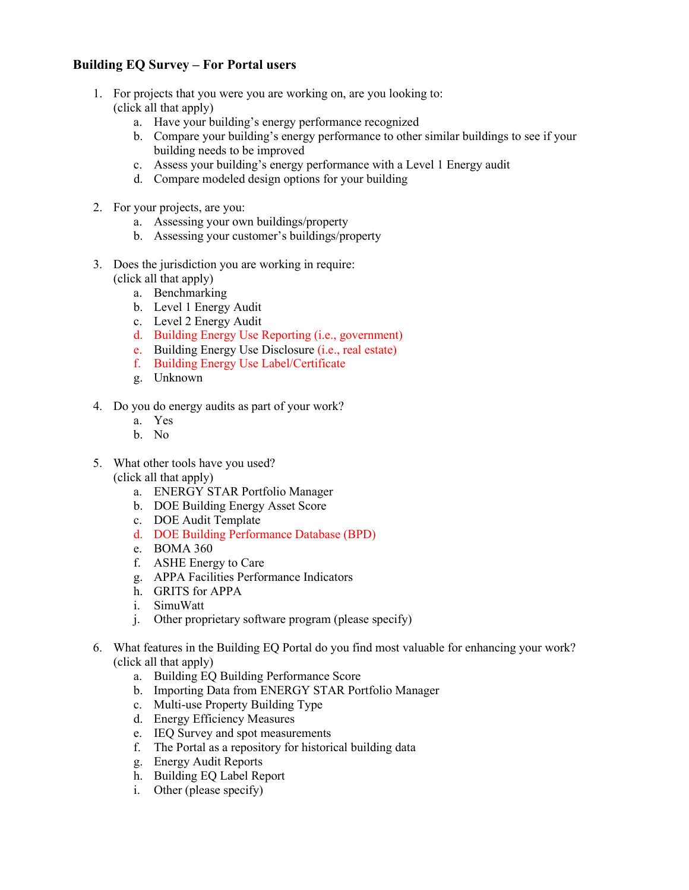## **Building EQ Survey – For Portal users**

- 1. For projects that you were you are working on, are you looking to: (click all that apply)
	- a. Have your building's energy performance recognized
	- b. Compare your building's energy performance to other similar buildings to see if your building needs to be improved
	- c. Assess your building's energy performance with a Level 1 Energy audit
	- d. Compare modeled design options for your building
- 2. For your projects, are you:
	- a. Assessing your own buildings/property
	- b. Assessing your customer's buildings/property
- 3. Does the jurisdiction you are working in require: (click all that apply)
	- a. Benchmarking
	- b. Level 1 Energy Audit
	- c. Level 2 Energy Audit
	- d. Building Energy Use Reporting (i.e., government)
	- e. Building Energy Use Disclosure (i.e., real estate)
	- f. Building Energy Use Label/Certificate
	- g. Unknown
- 4. Do you do energy audits as part of your work?
	- a. Yes
	- b. No
- 5. What other tools have you used?

(click all that apply)

- a. ENERGY STAR Portfolio Manager
- b. DOE Building Energy Asset Score
- c. DOE Audit Template
- d. DOE Building Performance Database (BPD)
- e. BOMA 360
- f. ASHE Energy to Care
- g. APPA Facilities Performance Indicators
- h. GRITS for APPA
- i. SimuWatt
- j. Other proprietary software program (please specify)
- 6. What features in the Building EQ Portal do you find most valuable for enhancing your work? (click all that apply)
	- a. Building EQ Building Performance Score
	- b. Importing Data from ENERGY STAR Portfolio Manager
	- c. Multi-use Property Building Type
	- d. Energy Efficiency Measures
	- e. IEQ Survey and spot measurements
	- f. The Portal as a repository for historical building data
	- g. Energy Audit Reports
	- h. Building EQ Label Report
	- i. Other (please specify)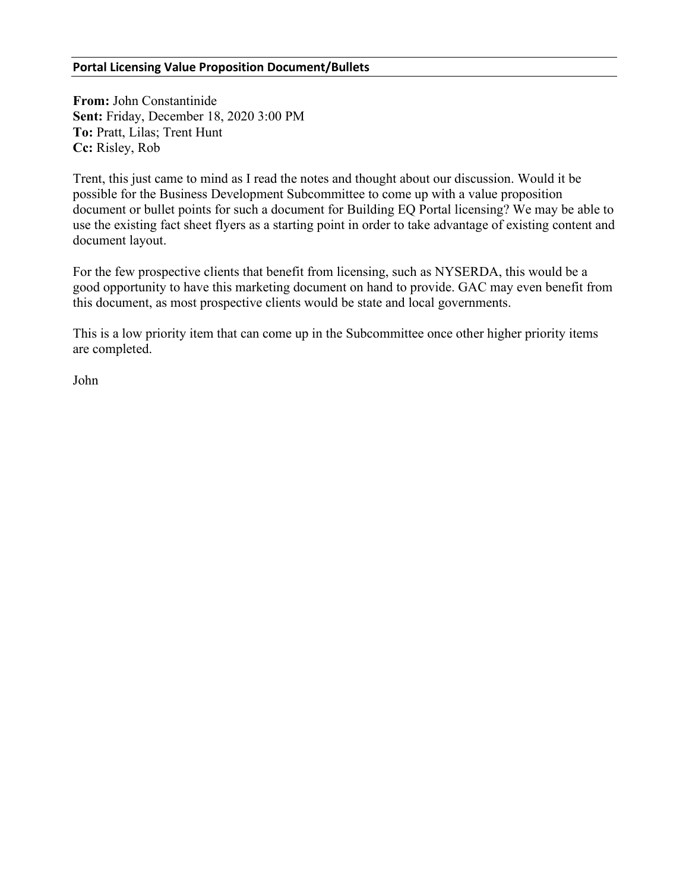#### <span id="page-9-0"></span>**Portal Licensing Value Proposition Document/Bullets**

**From:** John Constantinide **Sent:** Friday, December 18, 2020 3:00 PM **To:** Pratt, Lilas; Trent Hunt **Cc:** Risley, Rob

Trent, this just came to mind as I read the notes and thought about our discussion. Would it be possible for the Business Development Subcommittee to come up with a value proposition document or bullet points for such a document for Building EQ Portal licensing? We may be able to use the existing fact sheet flyers as a starting point in order to take advantage of existing content and document layout.

For the few prospective clients that benefit from licensing, such as NYSERDA, this would be a good opportunity to have this marketing document on hand to provide. GAC may even benefit from this document, as most prospective clients would be state and local governments.

This is a low priority item that can come up in the Subcommittee once other higher priority items are completed.

John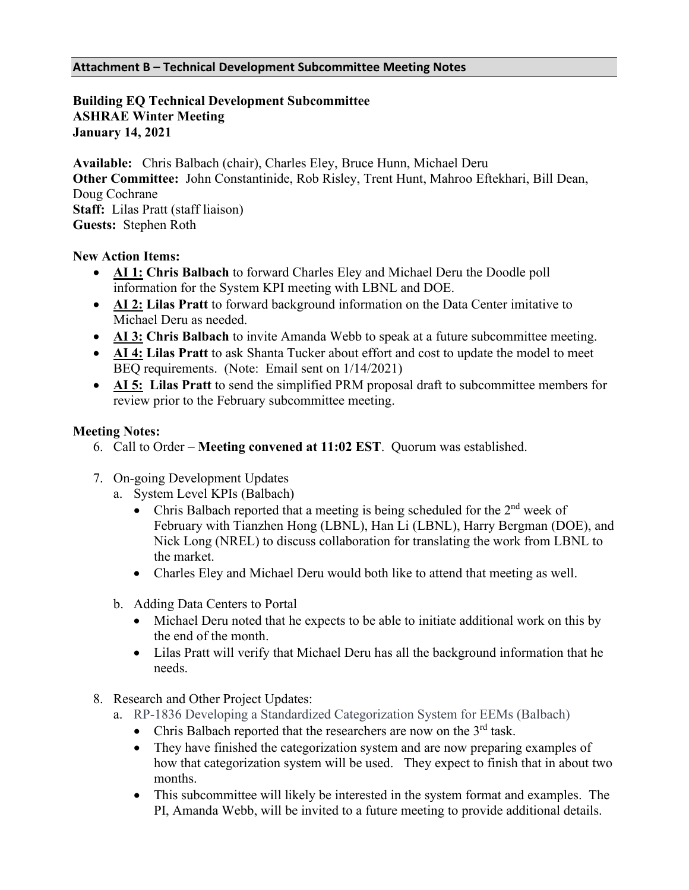#### <span id="page-10-0"></span>**Attachment B – Technical Development Subcommittee Meeting Notes**

## **Building EQ Technical Development Subcommittee ASHRAE Winter Meeting January 14, 2021**

**Available:** Chris Balbach (chair), Charles Eley, Bruce Hunn, Michael Deru **Other Committee:** John Constantinide, Rob Risley, Trent Hunt, Mahroo Eftekhari, Bill Dean, Doug Cochrane **Staff:** Lilas Pratt (staff liaison) **Guests:** Stephen Roth

### **New Action Items:**

- **AI 1: Chris Balbach** to forward Charles Eley and Michael Deru the Doodle poll information for the System KPI meeting with LBNL and DOE.
- **AI 2: Lilas Pratt** to forward background information on the Data Center imitative to Michael Deru as needed.
- **AI 3: Chris Balbach** to invite Amanda Webb to speak at a future subcommittee meeting.
- **AI 4: Lilas Pratt** to ask Shanta Tucker about effort and cost to update the model to meet BEQ requirements. (Note: Email sent on 1/14/2021)
- **AI 5: Lilas Pratt** to send the simplified PRM proposal draft to subcommittee members for review prior to the February subcommittee meeting.

## **Meeting Notes:**

- 6. Call to Order **Meeting convened at 11:02 EST**. Quorum was established.
- 7. On-going Development Updates
	- a. System Level KPIs (Balbach)
		- Chris Balbach reported that a meeting is being scheduled for the  $2<sup>nd</sup>$  week of February with Tianzhen Hong (LBNL), Han Li (LBNL), Harry Bergman (DOE), and Nick Long (NREL) to discuss collaboration for translating the work from LBNL to the market.
		- Charles Eley and Michael Deru would both like to attend that meeting as well.
	- b. Adding Data Centers to Portal
		- Michael Deru noted that he expects to be able to initiate additional work on this by the end of the month.
		- Lilas Pratt will verify that Michael Deru has all the background information that he needs.
- 8. Research and Other Project Updates:
	- a. RP-1836 Developing a Standardized Categorization System for EEMs (Balbach)
		- Chris Balbach reported that the researchers are now on the  $3<sup>rd</sup>$  task.
		- They have finished the categorization system and are now preparing examples of how that categorization system will be used. They expect to finish that in about two months.
		- This subcommittee will likely be interested in the system format and examples. The PI, Amanda Webb, will be invited to a future meeting to provide additional details.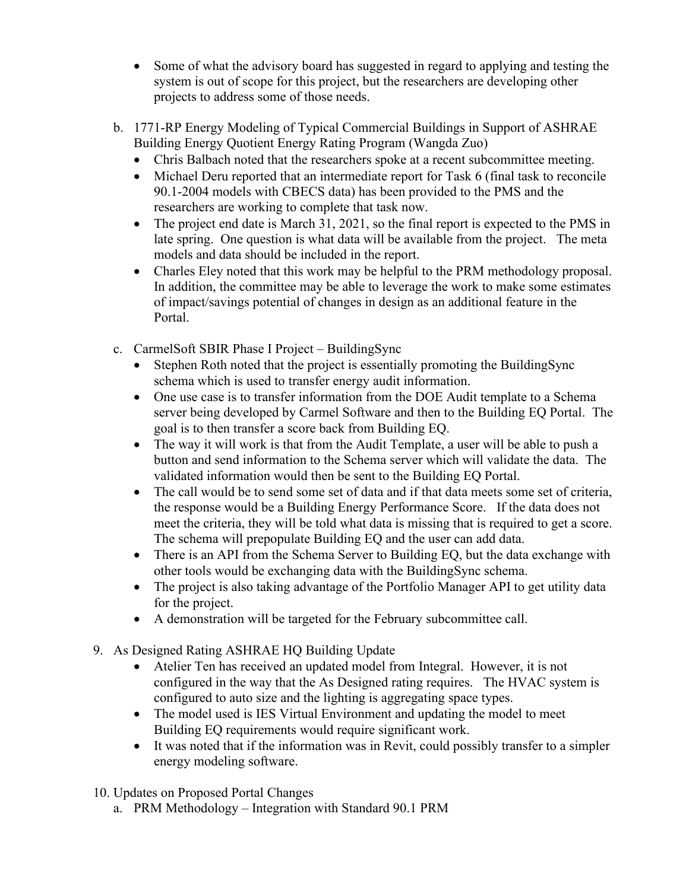- Some of what the advisory board has suggested in regard to applying and testing the system is out of scope for this project, but the researchers are developing other projects to address some of those needs.
- b. 1771-RP Energy Modeling of Typical Commercial Buildings in Support of ASHRAE Building Energy Quotient Energy Rating Program (Wangda Zuo)
	- Chris Balbach noted that the researchers spoke at a recent subcommittee meeting.
	- Michael Deru reported that an intermediate report for Task 6 (final task to reconcile 90.1-2004 models with CBECS data) has been provided to the PMS and the researchers are working to complete that task now.
	- The project end date is March 31, 2021, so the final report is expected to the PMS in late spring. One question is what data will be available from the project. The meta models and data should be included in the report.
	- Charles Eley noted that this work may be helpful to the PRM methodology proposal. In addition, the committee may be able to leverage the work to make some estimates of impact/savings potential of changes in design as an additional feature in the Portal.
- c. CarmelSoft SBIR Phase I Project BuildingSync
	- Stephen Roth noted that the project is essentially promoting the BuildingSync schema which is used to transfer energy audit information.
	- One use case is to transfer information from the DOE Audit template to a Schema server being developed by Carmel Software and then to the Building EQ Portal. The goal is to then transfer a score back from Building EQ.
	- The way it will work is that from the Audit Template, a user will be able to push a button and send information to the Schema server which will validate the data. The validated information would then be sent to the Building EQ Portal.
	- The call would be to send some set of data and if that data meets some set of criteria, the response would be a Building Energy Performance Score. If the data does not meet the criteria, they will be told what data is missing that is required to get a score. The schema will prepopulate Building EQ and the user can add data.
	- There is an API from the Schema Server to Building EQ, but the data exchange with other tools would be exchanging data with the BuildingSync schema.
	- The project is also taking advantage of the Portfolio Manager API to get utility data for the project.
	- A demonstration will be targeted for the February subcommittee call.
- 9. As Designed Rating ASHRAE HQ Building Update
	- Atelier Ten has received an updated model from Integral. However, it is not configured in the way that the As Designed rating requires. The HVAC system is configured to auto size and the lighting is aggregating space types.
	- The model used is IES Virtual Environment and updating the model to meet Building EQ requirements would require significant work.
	- It was noted that if the information was in Revit, could possibly transfer to a simpler energy modeling software.
- 10. Updates on Proposed Portal Changes
	- a. PRM Methodology Integration with Standard 90.1 PRM